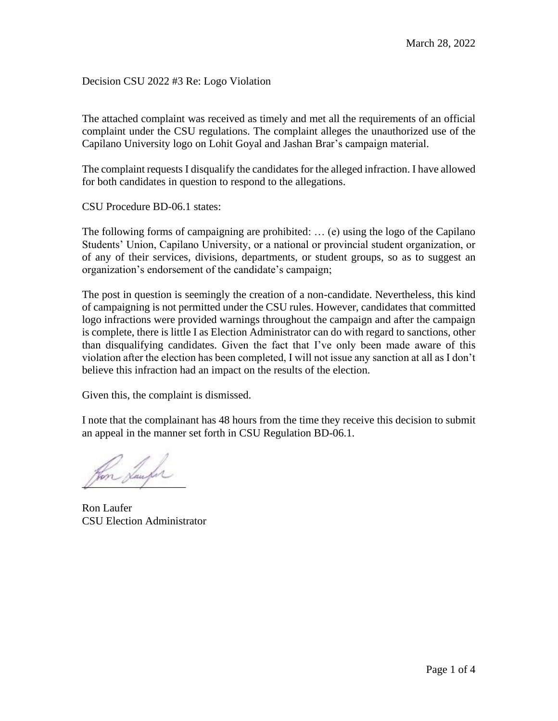Decision CSU 2022 #3 Re: Logo Violation

The attached complaint was received as timely and met all the requirements of an official complaint under the CSU regulations. The complaint alleges the unauthorized use of the Capilano University logo on Lohit Goyal and Jashan Brar's campaign material.

The complaint requests I disqualify the candidates for the alleged infraction. I have allowed for both candidates in question to respond to the allegations.

CSU Procedure BD-06.1 states:

The following forms of campaigning are prohibited: … (e) using the logo of the Capilano Students' Union, Capilano University, or a national or provincial student organization, or of any of their services, divisions, departments, or student groups, so as to suggest an organization's endorsement of the candidate's campaign;

The post in question is seemingly the creation of a non-candidate. Nevertheless, this kind of campaigning is not permitted under the CSU rules. However, candidates that committed logo infractions were provided warnings throughout the campaign and after the campaign is complete, there is little I as Election Administrator can do with regard to sanctions, other than disqualifying candidates. Given the fact that I've only been made aware of this violation after the election has been completed, I will not issue any sanction at all as I don't believe this infraction had an impact on the results of the election.

Given this, the complaint is dismissed.

I note that the complainant has 48 hours from the time they receive this decision to submit an appeal in the manner set forth in CSU Regulation BD-06.1.

m Sunfor

Ron Laufer CSU Election Administrator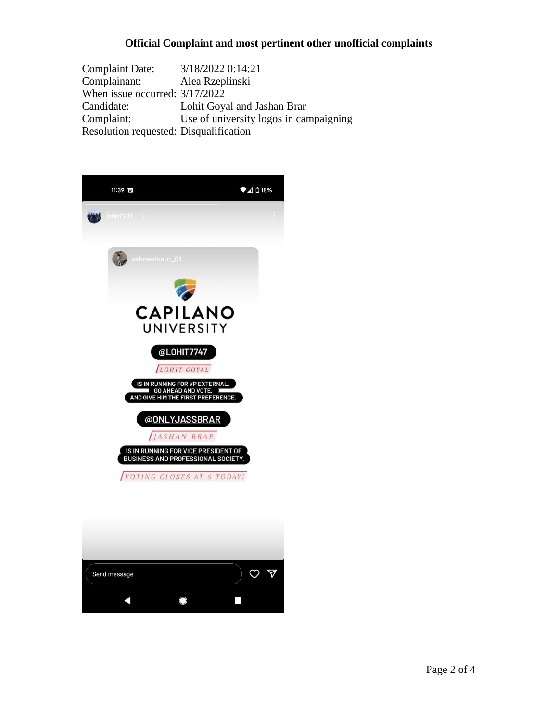## **Official Complaint and most pertinent other unofficial complaints**

Complaint Date: 3/18/2022 0:14:21 Complainant: Alea Rzeplinski When issue occurred: 3/17/2022 Candidate: Lohit Goyal and Jashan Brar Complaint: Use of university logos in campaigning Resolution requested: Disqualification



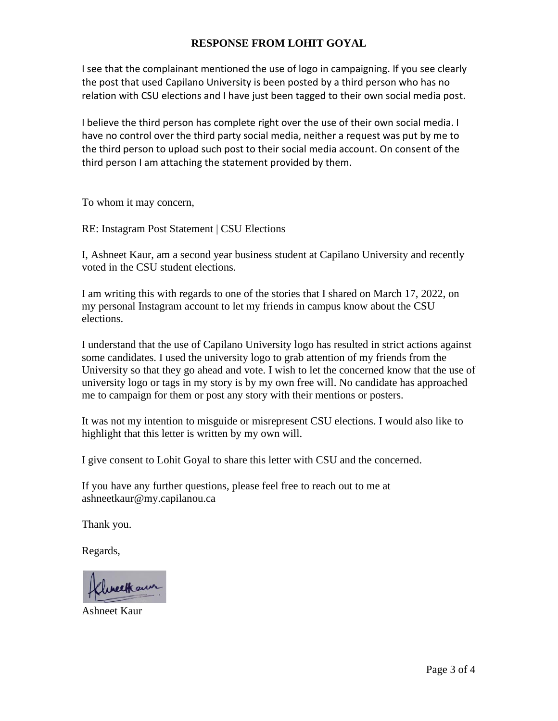## **RESPONSE FROM LOHIT GOYAL**

I see that the complainant mentioned the use of logo in campaigning. If you see clearly the post that used Capilano University is been posted by a third person who has no relation with CSU elections and I have just been tagged to their own social media post.

I believe the third person has complete right over the use of their own social media. I have no control over the third party social media, neither a request was put by me to the third person to upload such post to their social media account. On consent of the third person I am attaching the statement provided by them.

To whom it may concern,

RE: Instagram Post Statement | CSU Elections

I, Ashneet Kaur, am a second year business student at Capilano University and recently voted in the CSU student elections.

I am writing this with regards to one of the stories that I shared on March 17, 2022, on my personal Instagram account to let my friends in campus know about the CSU elections.

I understand that the use of Capilano University logo has resulted in strict actions against some candidates. I used the university logo to grab attention of my friends from the University so that they go ahead and vote. I wish to let the concerned know that the use of university logo or tags in my story is by my own free will. No candidate has approached me to campaign for them or post any story with their mentions or posters.

It was not my intention to misguide or misrepresent CSU elections. I would also like to highlight that this letter is written by my own will.

I give consent to Lohit Goyal to share this letter with CSU and the concerned.

If you have any further questions, please feel free to reach out to me at ashneetkaur@my.capilanou.ca

Thank you.

Regards,

Iweekaw

Ashneet Kaur